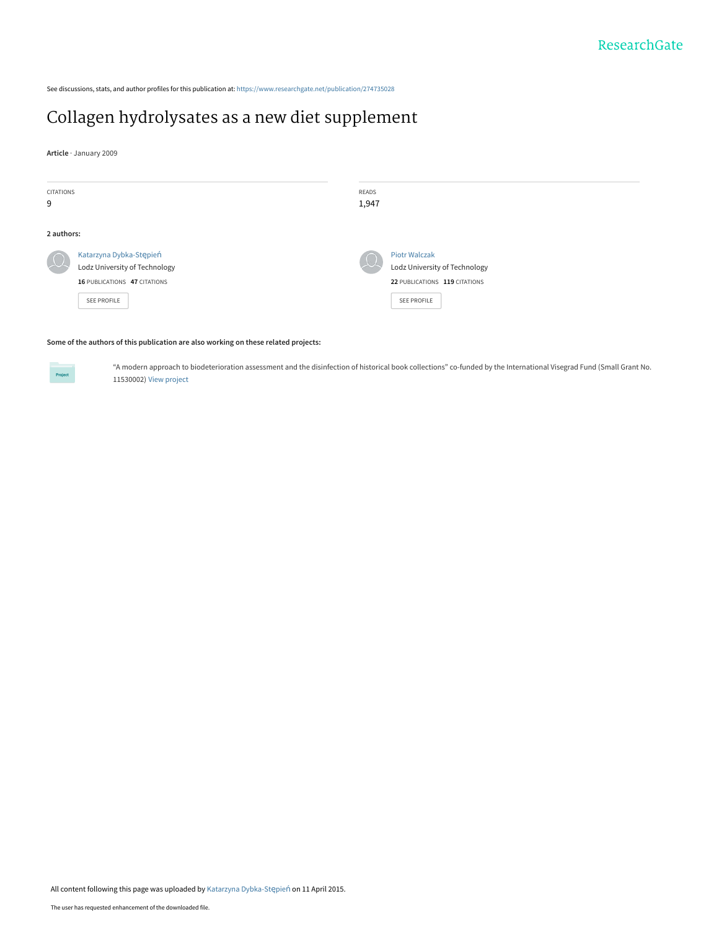See discussions, stats, and author profiles for this publication at: [https://www.researchgate.net/publication/274735028](https://www.researchgate.net/publication/274735028_Collagen_hydrolysates_as_a_new_diet_supplement?enrichId=rgreq-fd6ffa408a915218f58d440677ce529f-XXX&enrichSource=Y292ZXJQYWdlOzI3NDczNTAyODtBUzoyMTcwNTI5NDcxOTM4NTZAMTQyODc2MDg2Mzc0Ng%3D%3D&el=1_x_2&_esc=publicationCoverPdf)

# [Collagen hydrolysates as a new diet supplement](https://www.researchgate.net/publication/274735028_Collagen_hydrolysates_as_a_new_diet_supplement?enrichId=rgreq-fd6ffa408a915218f58d440677ce529f-XXX&enrichSource=Y292ZXJQYWdlOzI3NDczNTAyODtBUzoyMTcwNTI5NDcxOTM4NTZAMTQyODc2MDg2Mzc0Ng%3D%3D&el=1_x_3&_esc=publicationCoverPdf)

**Article** · January 2009

| CITATIONS  |                               | READS    |                               |
|------------|-------------------------------|----------|-------------------------------|
| 9          |                               | 1,947    |                               |
|            |                               |          |                               |
| 2 authors: |                               |          |                               |
| $\mu$      | Katarzyna Dybka-Stępień       | $\Omega$ | <b>Piotr Walczak</b>          |
|            | Lodz University of Technology |          | Lodz University of Technology |
|            | 16 PUBLICATIONS 47 CITATIONS  |          | 22 PUBLICATIONS 119 CITATIONS |
|            | SEE PROFILE                   |          | <b>SEE PROFILE</b>            |
|            |                               |          |                               |

#### **Some of the authors of this publication are also working on these related projects:**



"A modern approach to biodeterioration assessment and the disinfection of historical book collections" co-funded by the International Visegrad Fund (Small Grant No. 11530002) [View project](https://www.researchgate.net/project/A-modern-approach-to-biodeterioration-assessment-and-the-disinfection-of-historical-book-collections-co-funded-by-the-International-Visegrad-Fund-Small-Grant-No-11530002?enrichId=rgreq-fd6ffa408a915218f58d440677ce529f-XXX&enrichSource=Y292ZXJQYWdlOzI3NDczNTAyODtBUzoyMTcwNTI5NDcxOTM4NTZAMTQyODc2MDg2Mzc0Ng%3D%3D&el=1_x_9&_esc=publicationCoverPdf)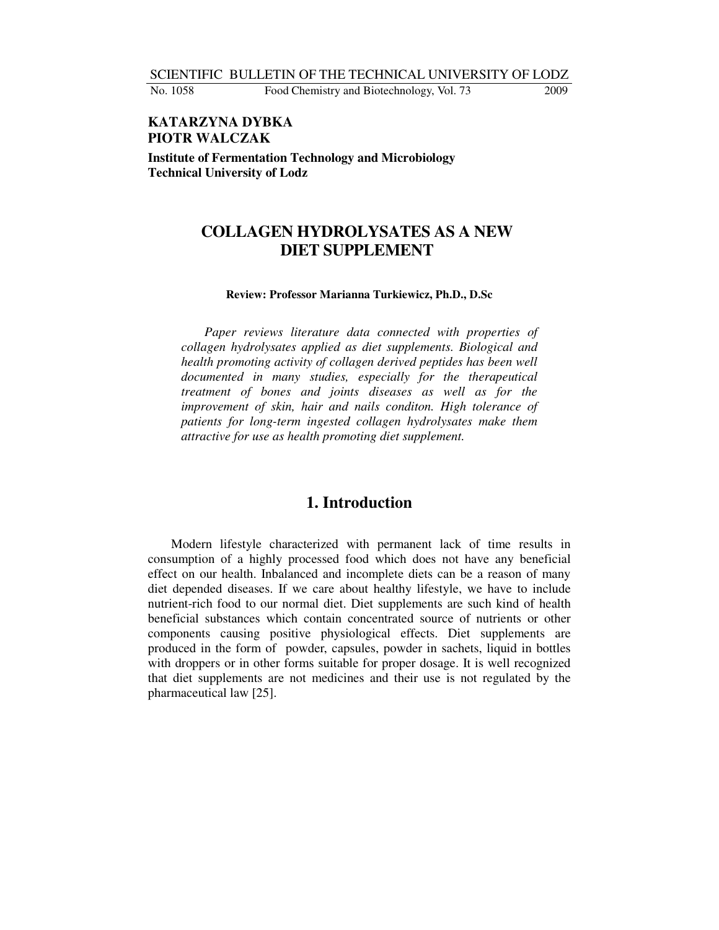SCIENTIFIC BULLETIN OF THE TECHNICAL UNIVERSITY OF LODZ

No. 1058 Food Chemistry and Biotechnology, Vol. 73 2009

**KATARZYNA DYBKA PIOTR WALCZAK Institute of Fermentation Technology and Microbiology Technical University of Lodz**

## **COLLAGEN HYDROLYSATES AS A NEW DIET SUPPLEMENT**

#### **Review: Professor Marianna Turkiewicz, Ph.D., D.Sc**

*Paper reviews literature data connected with properties of collagen hydrolysates applied as diet supplements. Biological and health promoting activity of collagen derived peptides has been well documented in many studies, especially for the therapeutical treatment of bones and joints diseases as well as for the improvement of skin, hair and nails conditon. High tolerance of patients for long-term ingested collagen hydrolysates make them attractive for use as health promoting diet supplement.*

## **1. Introduction**

Modern lifestyle characterized with permanent lack of time results in consumption of a highly processed food which does not have any beneficial effect on our health. Inbalanced and incomplete diets can be a reason of many diet depended diseases. If we care about healthy lifestyle, we have to include nutrient-rich food to our normal diet. Diet supplements are such kind of health beneficial substances which contain concentrated source of nutrients or other components causing positive physiological effects. Diet supplements are produced in the form of powder, capsules, powder in sachets, liquid in bottles with droppers or in other forms suitable for proper dosage. It is well recognized that diet supplements are not medicines and their use is not regulated by the pharmaceutical law [25].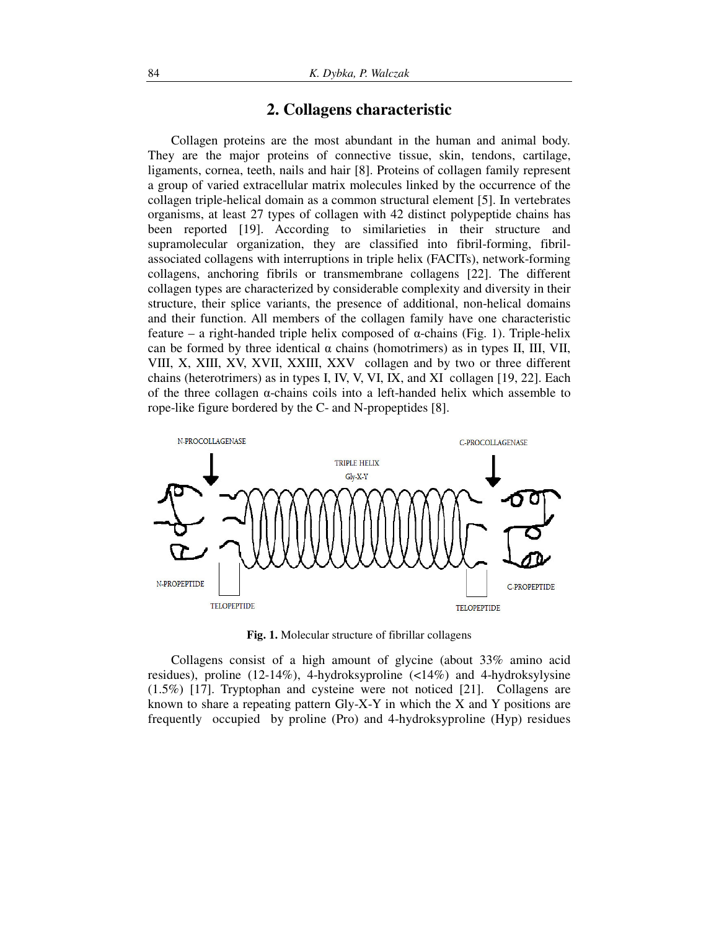#### **2. Collagens characteristic**

Collagen proteins are the most abundant in the human and animal body. They are the major proteins of connective tissue, skin, tendons, cartilage, ligaments, cornea, teeth, nails and hair [8]. Proteins of collagen family represent a group of varied extracellular matrix molecules linked by the occurrence of the collagen triple-helical domain as a common structural element [5]. In vertebrates organisms, at least 27 types of collagen with 42 distinct polypeptide chains has been reported [19]. According to similarieties in their structure and supramolecular organization, they are classified into fibril-forming, fibrilassociated collagens with interruptions in triple helix (FACITs), network-forming collagens, anchoring fibrils or transmembrane collagens [22]. The different collagen types are characterized by considerable complexity and diversity in their structure, their splice variants, the presence of additional, non-helical domains and their function. All members of the collagen family have one characteristic feature – a right-handed triple helix composed of  $\alpha$ -chains (Fig. 1). Triple-helix can be formed by three identical  $\alpha$  chains (homotrimers) as in types II, III, VII, VIII, X, XIII, XV, XVII, XXIII, XXV collagen and by two or three different chains (heterotrimers) as in types I, IV, V, VI, IX, and XI collagen [19, 22]. Each of the three collagen  $\alpha$ -chains coils into a left-handed helix which assemble to rope-like figure bordered by the C- and N-propeptides [8].



**Fig. 1.** Molecular structure of fibrillar collagens

Collagens consist of a high amount of glycine (about 33% amino acid residues), proline (12-14%), 4-hydroksyproline (<14%) and 4-hydroksylysine (1.5%) [17]. Tryptophan and cysteine were not noticed [21]. Collagens are known to share a repeating pattern Gly-X-Y in which the X and Y positions are frequently occupied by proline (Pro) and 4-hydroksyproline (Hyp) residues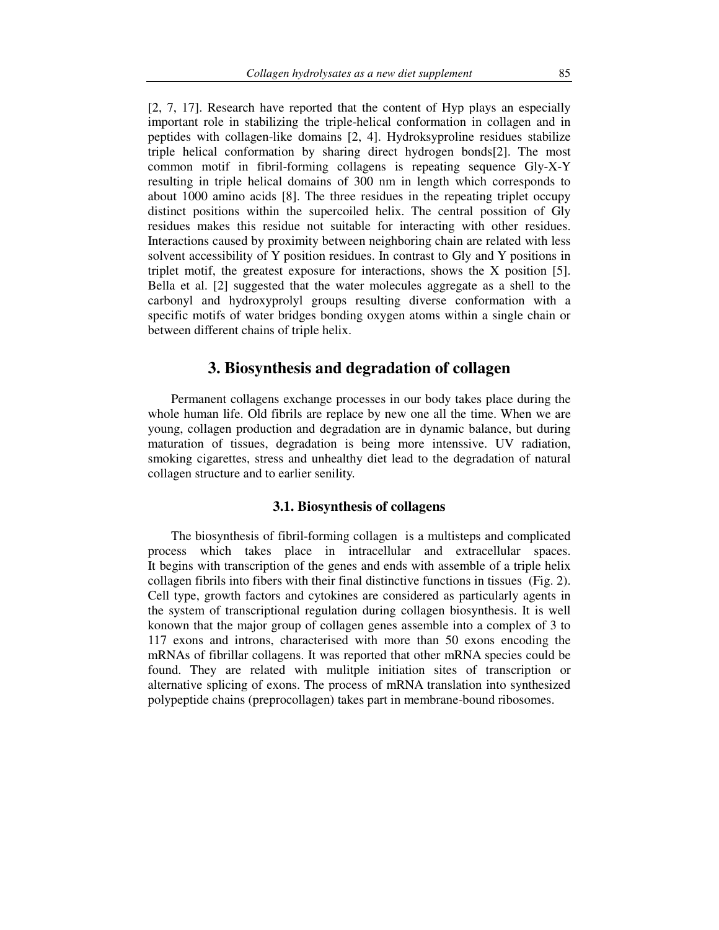[2, 7, 17]. Research have reported that the content of Hyp plays an especially important role in stabilizing the triple-helical conformation in collagen and in peptides with collagen-like domains [2, 4]. Hydroksyproline residues stabilize triple helical conformation by sharing direct hydrogen bonds[2]. The most common motif in fibril-forming collagens is repeating sequence Gly-X-Y resulting in triple helical domains of 300 nm in length which corresponds to about 1000 amino acids [8]. The three residues in the repeating triplet occupy distinct positions within the supercoiled helix. The central possition of Gly residues makes this residue not suitable for interacting with other residues. Interactions caused by proximity between neighboring chain are related with less solvent accessibility of Y position residues. In contrast to Gly and Y positions in triplet motif, the greatest exposure for interactions, shows the X position [5]. Bella et al. [2] suggested that the water molecules aggregate as a shell to the carbonyl and hydroxyprolyl groups resulting diverse conformation with a specific motifs of water bridges bonding oxygen atoms within a single chain or between different chains of triple helix.

## **3. Biosynthesis and degradation of collagen**

Permanent collagens exchange processes in our body takes place during the whole human life. Old fibrils are replace by new one all the time. When we are young, collagen production and degradation are in dynamic balance, but during maturation of tissues, degradation is being more intenssive. UV radiation, smoking cigarettes, stress and unhealthy diet lead to the degradation of natural collagen structure and to earlier senility.

#### **3.1. Biosynthesis of collagens**

The biosynthesis of fibril-forming collagen is a multisteps and complicated process which takes place in intracellular and extracellular spaces. It begins with transcription of the genes and ends with assemble of a triple helix collagen fibrils into fibers with their final distinctive functions in tissues (Fig. 2). Cell type, growth factors and cytokines are considered as particularly agents in the system of transcriptional regulation during collagen biosynthesis. It is well konown that the major group of collagen genes assemble into a complex of 3 to 117 exons and introns, characterised with more than 50 exons encoding the mRNAs of fibrillar collagens. It was reported that other mRNA species could be found. They are related with mulitple initiation sites of transcription or alternative splicing of exons. The process of mRNA translation into synthesized polypeptide chains (preprocollagen) takes part in membrane-bound ribosomes.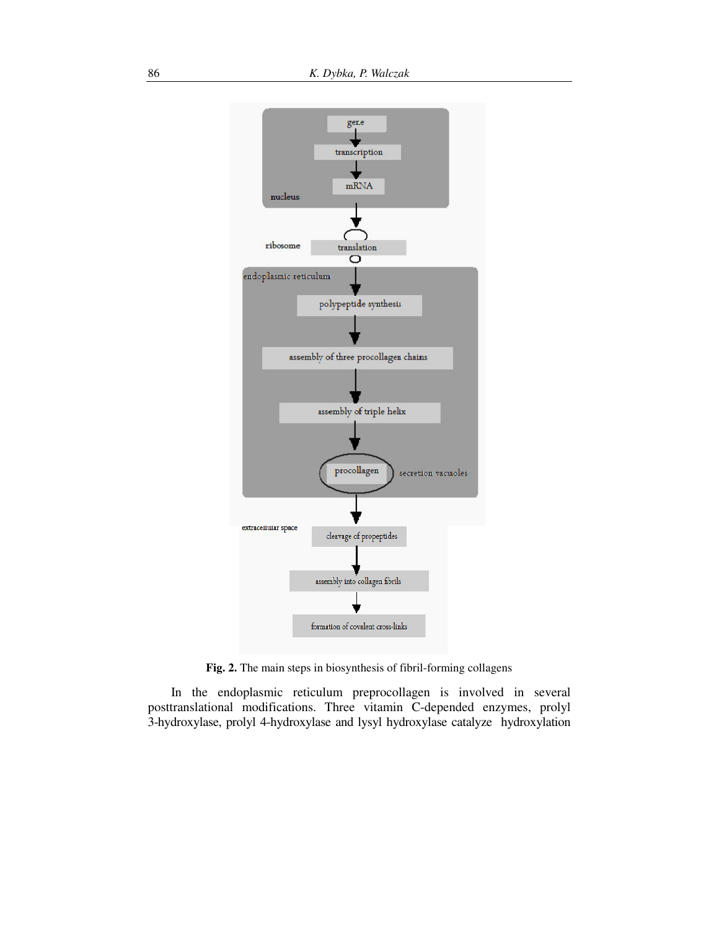

**Fig. 2.** The main steps in biosynthesis of fibril-forming collagens

In the endoplasmic reticulum preprocollagen is involved in several posttranslational modifications. Three vitamin C-depended enzymes, prolyl 3-hydroxylase, prolyl 4-hydroxylase and lysyl hydroxylase catalyze hydroxylation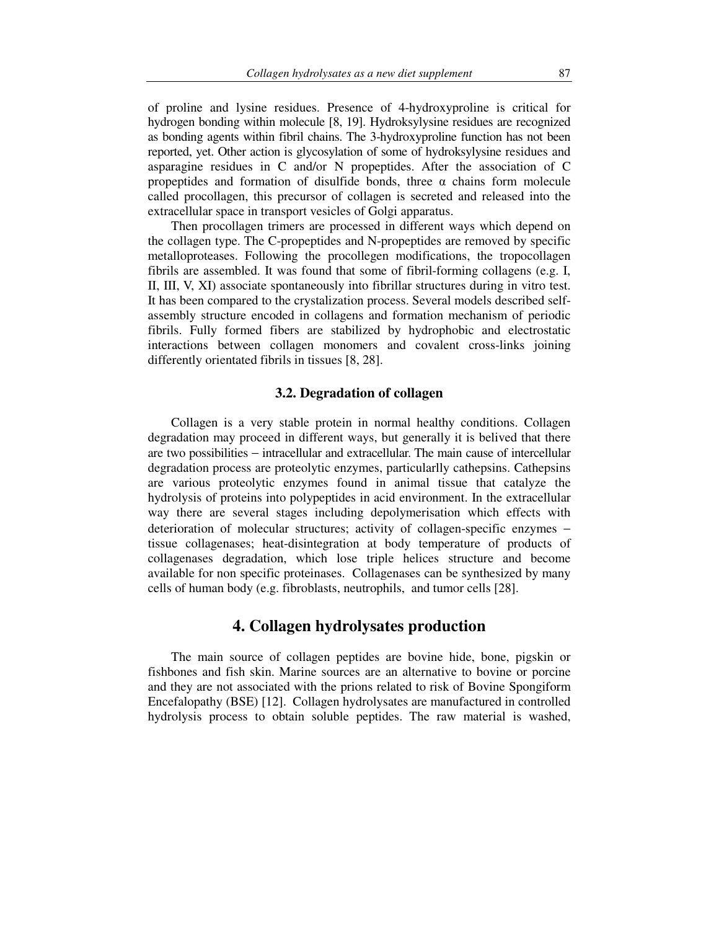of proline and lysine residues. Presence of 4-hydroxyproline is critical for hydrogen bonding within molecule [8, 19]. Hydroksylysine residues are recognized as bonding agents within fibril chains. The 3-hydroxyproline function has not been reported, yet. Other action is glycosylation of some of hydroksylysine residues and asparagine residues in C and/or N propeptides. After the association of C propeptides and formation of disulfide bonds, three  $\alpha$  chains form molecule called procollagen, this precursor of collagen is secreted and released into the extracellular space in transport vesicles of Golgi apparatus.

Then procollagen trimers are processed in different ways which depend on the collagen type. The C-propeptides and N-propeptides are removed by specific metalloproteases. Following the procollegen modifications, the tropocollagen fibrils are assembled. It was found that some of fibril-forming collagens (e.g. I, II, III, V, XI) associate spontaneously into fibrillar structures during in vitro test. It has been compared to the crystalization process. Several models described selfassembly structure encoded in collagens and formation mechanism of periodic fibrils. Fully formed fibers are stabilized by hydrophobic and electrostatic interactions between collagen monomers and covalent cross-links joining differently orientated fibrils in tissues [8, 28].

#### **3.2. Degradation of collagen**

Collagen is a very stable protein in normal healthy conditions. Collagen degradation may proceed in different ways, but generally it is belived that there are two possibilities − intracellular and extracellular. The main cause of intercellular degradation process are proteolytic enzymes, particularlly cathepsins. Cathepsins are various proteolytic enzymes found in animal tissue that catalyze the hydrolysis of proteins into polypeptides in acid environment. In the extracellular way there are several stages including depolymerisation which effects with deterioration of molecular structures; activity of collagen-specific enzymes − tissue collagenases; heat-disintegration at body temperature of products of collagenases degradation, which lose triple helices structure and become available for non specific proteinases. Collagenases can be synthesized by many cells of human body (e.g. fibroblasts, neutrophils, and tumor cells [28].

### **4. Collagen hydrolysates production**

The main source of collagen peptides are bovine hide, bone, pigskin or fishbones and fish skin. Marine sources are an alternative to bovine or porcine and they are not associated with the prions related to risk of Bovine Spongiform Encefalopathy (BSE) [12]. Collagen hydrolysates are manufactured in controlled hydrolysis process to obtain soluble peptides. The raw material is washed,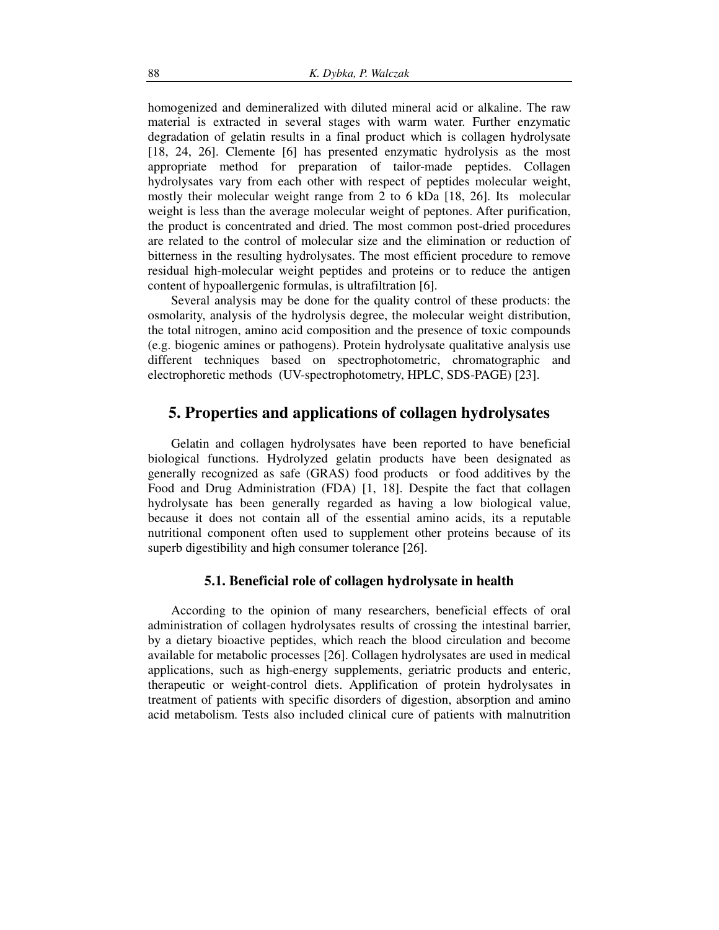homogenized and demineralized with diluted mineral acid or alkaline. The raw material is extracted in several stages with warm water. Further enzymatic degradation of gelatin results in a final product which is collagen hydrolysate [18, 24, 26]. Clemente [6] has presented enzymatic hydrolysis as the most appropriate method for preparation of tailor-made peptides. Collagen hydrolysates vary from each other with respect of peptides molecular weight, mostly their molecular weight range from 2 to 6 kDa [18, 26]. Its molecular weight is less than the average molecular weight of peptones. After purification, the product is concentrated and dried. The most common post-dried procedures are related to the control of molecular size and the elimination or reduction of bitterness in the resulting hydrolysates. The most efficient procedure to remove residual high-molecular weight peptides and proteins or to reduce the antigen content of hypoallergenic formulas, is ultrafiltration [6].

Several analysis may be done for the quality control of these products: the osmolarity, analysis of the hydrolysis degree, the molecular weight distribution, the total nitrogen, amino acid composition and the presence of toxic compounds (e.g. biogenic amines or pathogens). Protein hydrolysate qualitative analysis use different techniques based on spectrophotometric, chromatographic and electrophoretic methods (UV-spectrophotometry, HPLC, SDS-PAGE) [23].

### **5. Properties and applications of collagen hydrolysates**

Gelatin and collagen hydrolysates have been reported to have beneficial biological functions. Hydrolyzed gelatin products have been designated as generally recognized as safe (GRAS) food products or food additives by the Food and Drug Administration (FDA) [1, 18]. Despite the fact that collagen hydrolysate has been generally regarded as having a low biological value, because it does not contain all of the essential amino acids, its a reputable nutritional component often used to supplement other proteins because of its superb digestibility and high consumer tolerance [26].

#### **5.1. Beneficial role of collagen hydrolysate in health**

According to the opinion of many researchers, beneficial effects of oral administration of collagen hydrolysates results of crossing the intestinal barrier, by a dietary bioactive peptides, which reach the blood circulation and become available for metabolic processes [26]. Collagen hydrolysates are used in medical applications, such as high-energy supplements, geriatric products and enteric, therapeutic or weight-control diets. Applification of protein hydrolysates in treatment of patients with specific disorders of digestion, absorption and amino acid metabolism. Tests also included clinical cure of patients with malnutrition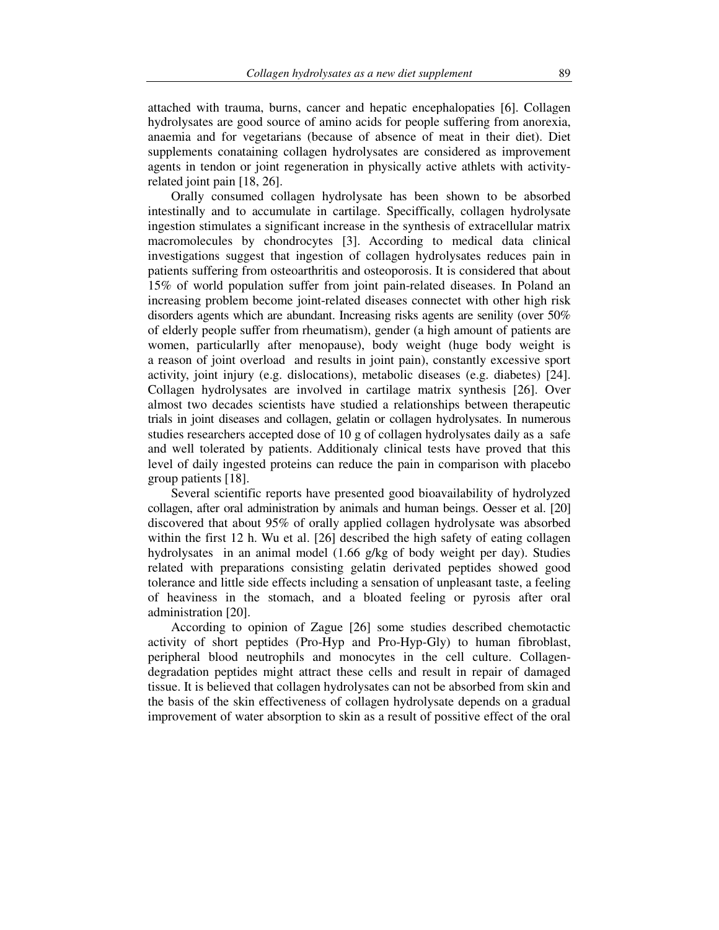attached with trauma, burns, cancer and hepatic encephalopaties [6]. Collagen hydrolysates are good source of amino acids for people suffering from anorexia, anaemia and for vegetarians (because of absence of meat in their diet). Diet supplements conataining collagen hydrolysates are considered as improvement agents in tendon or joint regeneration in physically active athlets with activityrelated joint pain [18, 26].

Orally consumed collagen hydrolysate has been shown to be absorbed intestinally and to accumulate in cartilage. Speciffically, collagen hydrolysate ingestion stimulates a significant increase in the synthesis of extracellular matrix macromolecules by chondrocytes [3]. According to medical data clinical investigations suggest that ingestion of collagen hydrolysates reduces pain in patients suffering from osteoarthritis and osteoporosis. It is considered that about 15% of world population suffer from joint pain-related diseases. In Poland an increasing problem become joint-related diseases connectet with other high risk disorders agents which are abundant. Increasing risks agents are senility (over 50% of elderly people suffer from rheumatism), gender (a high amount of patients are women, particularlly after menopause), body weight (huge body weight is a reason of joint overload and results in joint pain), constantly excessive sport activity, joint injury (e.g. dislocations), metabolic diseases (e.g. diabetes) [24]. Collagen hydrolysates are involved in cartilage matrix synthesis [26]. Over almost two decades scientists have studied a relationships between therapeutic trials in joint diseases and collagen, gelatin or collagen hydrolysates. In numerous studies researchers accepted dose of 10 g of collagen hydrolysates daily as a safe and well tolerated by patients. Additionaly clinical tests have proved that this level of daily ingested proteins can reduce the pain in comparison with placebo group patients [18].

Several scientific reports have presented good bioavailability of hydrolyzed collagen, after oral administration by animals and human beings. Oesser et al. [20] discovered that about 95% of orally applied collagen hydrolysate was absorbed within the first 12 h. Wu et al. [26] described the high safety of eating collagen hydrolysates in an animal model (1.66 g/kg of body weight per day). Studies related with preparations consisting gelatin derivated peptides showed good tolerance and little side effects including a sensation of unpleasant taste, a feeling of heaviness in the stomach, and a bloated feeling or pyrosis after oral administration [20].

According to opinion of Zague [26] some studies described chemotactic activity of short peptides (Pro-Hyp and Pro-Hyp-Gly) to human fibroblast, peripheral blood neutrophils and monocytes in the cell culture. Collagendegradation peptides might attract these cells and result in repair of damaged tissue. It is believed that collagen hydrolysates can not be absorbed from skin and the basis of the skin effectiveness of collagen hydrolysate depends on a gradual improvement of water absorption to skin as a result of possitive effect of the oral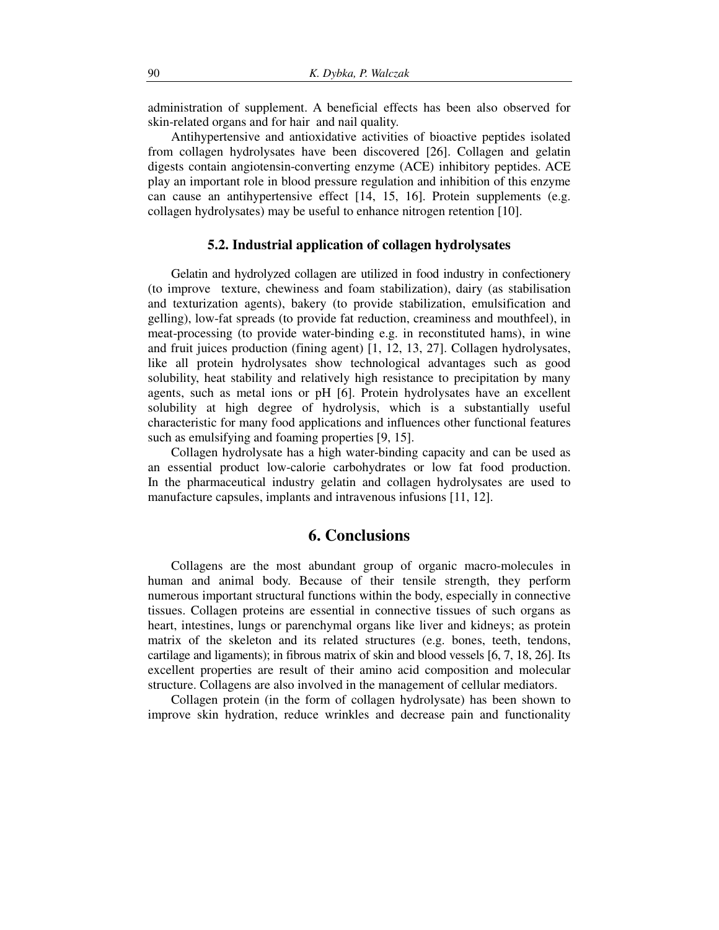administration of supplement. A beneficial effects has been also observed for skin-related organs and for hair and nail quality.

Antihypertensive and antioxidative activities of bioactive peptides isolated from collagen hydrolysates have been discovered [26]. Collagen and gelatin digests contain angiotensin-converting enzyme (ACE) inhibitory peptides. ACE play an important role in blood pressure regulation and inhibition of this enzyme can cause an antihypertensive effect [14, 15, 16]. Protein supplements (e.g. collagen hydrolysates) may be useful to enhance nitrogen retention [10].

#### **5.2. Industrial application of collagen hydrolysates**

Gelatin and hydrolyzed collagen are utilized in food industry in confectionery (to improve texture, chewiness and foam stabilization), dairy (as stabilisation and texturization agents), bakery (to provide stabilization, emulsification and gelling), low-fat spreads (to provide fat reduction, creaminess and mouthfeel), in meat-processing (to provide water-binding e.g. in reconstituted hams), in wine and fruit juices production (fining agent) [1, 12, 13, 27]. Collagen hydrolysates, like all protein hydrolysates show technological advantages such as good solubility, heat stability and relatively high resistance to precipitation by many agents, such as metal ions or pH [6]. Protein hydrolysates have an excellent solubility at high degree of hydrolysis, which is a substantially useful characteristic for many food applications and influences other functional features such as emulsifying and foaming properties [9, 15].

Collagen hydrolysate has a high water-binding capacity and can be used as an essential product low-calorie carbohydrates or low fat food production. In the pharmaceutical industry gelatin and collagen hydrolysates are used to manufacture capsules, implants and intravenous infusions [11, 12].

#### **6. Conclusions**

Collagens are the most abundant group of organic macro-molecules in human and animal body. Because of their tensile strength, they perform numerous important structural functions within the body, especially in connective tissues. Collagen proteins are essential in connective tissues of such organs as heart, intestines, lungs or parenchymal organs like liver and kidneys; as protein matrix of the skeleton and its related structures (e.g. bones, teeth, tendons, cartilage and ligaments); in fibrous matrix of skin and blood vessels [6, 7, 18, 26]. Its excellent properties are result of their amino acid composition and molecular structure. Collagens are also involved in the management of cellular mediators.

Collagen protein (in the form of collagen hydrolysate) has been shown to improve skin hydration, reduce wrinkles and decrease pain and functionality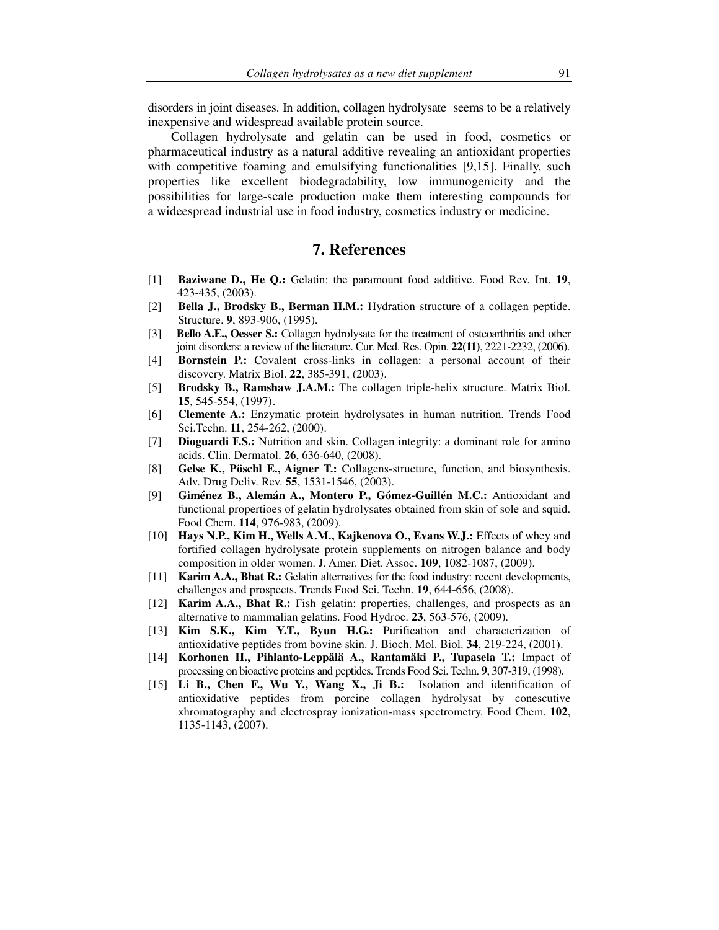disorders in joint diseases. In addition, collagen hydrolysate seems to be a relatively inexpensive and widespread available protein source.

Collagen hydrolysate and gelatin can be used in food, cosmetics or pharmaceutical industry as a natural additive revealing an antioxidant properties with competitive foaming and emulsifying functionalities [9,15]. Finally, such properties like excellent biodegradability, low immunogenicity and the possibilities for large-scale production make them interesting compounds for a wideespread industrial use in food industry, cosmetics industry or medicine.

### **7. References**

- [1] **Baziwane D., He Q.:** Gelatin: the paramount food additive. Food Rev. Int. **19**, 423-435, (2003).
- [2] **Bella J., Brodsky B., Berman H.M.:** Hydration structure of a collagen peptide. Structure. **9**, 893-906, (1995).
- [3] **Bello A.E., Oesser S.:** Collagen hydrolysate for the treatment of osteoarthritis and other joint disorders: a review of the literature. Cur. Med. Res. Opin. **22(11)**, 2221-2232, (2006).
- [4] **Bornstein P.:** Covalent cross-links in collagen: a personal account of their discovery. Matrix Biol. **22**, 385-391, (2003).
- [5] **Brodsky B., Ramshaw J.A.M.:** The collagen triple-helix structure. Matrix Biol. **15**, 545-554, (1997).
- [6] **Clemente A.:** Enzymatic protein hydrolysates in human nutrition. Trends Food Sci.Techn. **11**, 254-262, (2000).
- [7] **Dioguardi F.S.:** Nutrition and skin. Collagen integrity: a dominant role for amino acids. Clin. Dermatol. **26**, 636-640, (2008).
- [8] **Gelse K., Pöschl E., Aigner T.:** Collagens-structure, function, and biosynthesis. Adv. Drug Deliv. Rev. **55**, 1531-1546, (2003).
- [9] **Giménez B., Alemán A., Montero P., Gómez-Guillén M.C.:** Antioxidant and functional propertioes of gelatin hydrolysates obtained from skin of sole and squid. Food Chem. **114**, 976-983, (2009).
- [10] **Hays N.P., Kim H., Wells A.M., Kajkenova O., Evans W.J.:** Effects of whey and fortified collagen hydrolysate protein supplements on nitrogen balance and body composition in older women. J. Amer. Diet. Assoc. **109**, 1082-1087, (2009).
- [11] **Karim A.A., Bhat R.:** Gelatin alternatives for the food industry: recent developments, challenges and prospects. Trends Food Sci. Techn. **19**, 644-656, (2008).
- [12] **Karim A.A., Bhat R.:** Fish gelatin: properties, challenges, and prospects as an alternative to mammalian gelatins. Food Hydroc. **23**, 563-576, (2009).
- [13] **Kim S.K., Kim Y.T., Byun H.G.:** Purification and characterization of antioxidative peptides from bovine skin. J. Bioch. Mol. Biol. **34**, 219-224, (2001).
- [14] **Korhonen H., Pihlanto-Leppälä A., Rantamäki P., Tupasela T.:** Impact of processing on bioactive proteins and peptides. Trends Food Sci.Techn. **9**, 307-319, (1998).
- [15] **Li B., Chen F., Wu Y., Wang X., Ji B.:** Isolation and identification of antioxidative peptides from porcine collagen hydrolysat by conescutive xhromatography and electrospray ionization-mass spectrometry. Food Chem. **102**, 1135-1143, (2007).